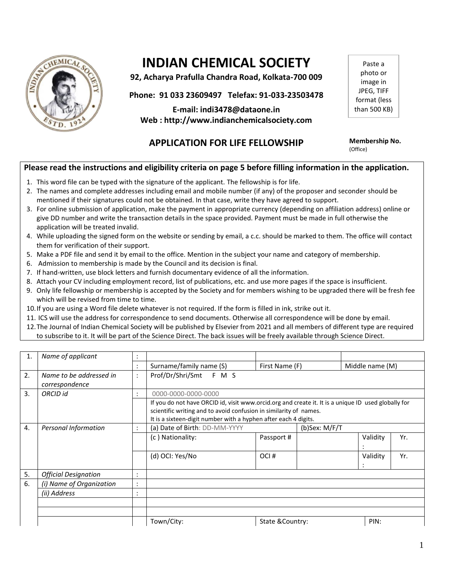

# **INDIAN CHEMICAL SOCIETY**

**92, Acharya Prafulla Chandra Road, Kolkata-700 009**

**Phone: 91 033 23609497 Telefax: 91-033-23503478**

**E-mail: indi3478@dataone.in Web : http://www.indianchemicalsociety.com**

Paste a photo or image in JPEG, TIFF format (less than 500 KB)

## **APPLICATION FOR LIFE FELLOWSHIP Membership No.**

(Office)

## **Please read the instructions and eligibility criteria on page 5 before filling information in the application.**

- 1. This word file can be typed with the signature of the applicant. The fellowship is for life.
- 2. The names and complete addresses including email and mobile number (if any) of the proposer and seconder should be mentioned if their signatures could not be obtained. In that case, write they have agreed to support.
- 3. For online submission of application, make the payment in appropriate currency (depending on affiliation address) online or give DD number and write the transaction details in the space provided. Payment must be made in full otherwise the application will be treated invalid.
- 4. While uploading the signed form on the website or sending by email, a c.c. should be marked to them. The office will contact them for verification of their support.
- 5. Make a PDF file and send it by email to the office. Mention in the subject your name and category of membership.
- 6. Admission to membership is made by the Council and its decision is final.
- 7. If hand-written, use block letters and furnish documentary evidence of all the information.
- 8. Attach your CV including employment record, list of publications, etc. and use more pages if the space is insufficient.
- 9. Only life fellowship or membership is accepted by the Society and for members wishing to be upgraded there will be fresh fee which will be revised from time to time.
- 10.If you are using a Word file delete whatever is not required. If the form is filled in ink, strike out it.
- 11. ICS will use the address for correspondence to send documents. Otherwise all correspondence will be done by email.
- 12.The Journal of Indian Chemical Society will be published by Elsevier from 2021 and all members of different type are required to subscribe to it. It will be part of the Science Direct. The back issues will be freely available through Science Direct.

| 1. | Name of applicant                         |                |                                                                                                                                                                                                                                             |                  |  |                 |     |  |
|----|-------------------------------------------|----------------|---------------------------------------------------------------------------------------------------------------------------------------------------------------------------------------------------------------------------------------------|------------------|--|-----------------|-----|--|
|    |                                           |                | Surname/family name (S)                                                                                                                                                                                                                     | First Name (F)   |  | Middle name (M) |     |  |
| 2. | Name to be addressed in<br>correspondence | $\ddot{\cdot}$ | Prof/Dr/Shri/Smt F M S                                                                                                                                                                                                                      |                  |  |                 |     |  |
| 3. | ORCID id                                  | ٠              | 0000-0000-0000-0000                                                                                                                                                                                                                         |                  |  |                 |     |  |
|    |                                           |                | If you do not have ORCID id, visit www.orcid.org and create it. It is a unique ID used globally for<br>scientific writing and to avoid confusion in similarity of names.<br>It is a sixteen-digit number with a hyphen after each 4 digits. |                  |  |                 |     |  |
| 4. | Personal Information                      | $\bullet$      | (a) Date of Birth: DD-MM-YYYY<br>(b)Sex: M/F/T                                                                                                                                                                                              |                  |  |                 |     |  |
|    |                                           |                | (c) Nationality:                                                                                                                                                                                                                            | Passport#        |  | Validity        | Yr. |  |
|    |                                           |                | (d) OCI: Yes/No                                                                                                                                                                                                                             | OCI#             |  | Validity        | Yr. |  |
| 5. | <b>Official Designation</b>               |                |                                                                                                                                                                                                                                             |                  |  |                 |     |  |
| 6. | (i) Name of Organization                  | ٠              |                                                                                                                                                                                                                                             |                  |  |                 |     |  |
|    | (ii) Address                              |                |                                                                                                                                                                                                                                             |                  |  |                 |     |  |
|    |                                           |                |                                                                                                                                                                                                                                             |                  |  |                 |     |  |
|    |                                           |                |                                                                                                                                                                                                                                             |                  |  |                 |     |  |
|    |                                           |                | Town/City:                                                                                                                                                                                                                                  | State & Country: |  | PIN:            |     |  |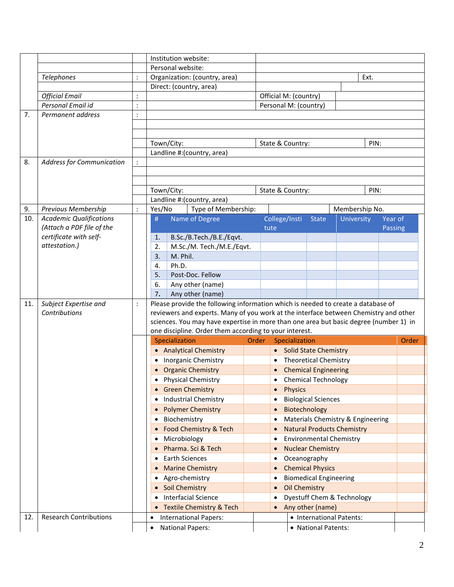|     |                                                              |                 | Institution website:          |                                                                                       |  |                                                |                                |  |                     |                          |                    |       |
|-----|--------------------------------------------------------------|-----------------|-------------------------------|---------------------------------------------------------------------------------------|--|------------------------------------------------|--------------------------------|--|---------------------|--------------------------|--------------------|-------|
|     |                                                              |                 | Personal website:             |                                                                                       |  |                                                |                                |  |                     |                          |                    |       |
|     | Telephones                                                   | $\ddot{\cdot}$  | Organization: (country, area) |                                                                                       |  | Ext.                                           |                                |  |                     |                          |                    |       |
|     |                                                              |                 | Direct: (country, area)       |                                                                                       |  |                                                |                                |  |                     |                          |                    |       |
|     | <b>Official Email</b>                                        |                 |                               |                                                                                       |  | Official M: (country)                          |                                |  |                     |                          |                    |       |
|     | Personal Email id                                            | $\ddot{\cdot}$  |                               |                                                                                       |  | Personal M: (country)                          |                                |  |                     |                          |                    |       |
| 7.  | Permanent address                                            | $\ddot{\cdot}$  |                               |                                                                                       |  |                                                |                                |  |                     |                          |                    |       |
|     |                                                              |                 |                               |                                                                                       |  |                                                |                                |  |                     |                          |                    |       |
|     |                                                              |                 |                               |                                                                                       |  |                                                |                                |  |                     |                          |                    |       |
|     |                                                              |                 | Town/City:                    |                                                                                       |  | PIN:<br>State & Country:                       |                                |  |                     |                          |                    |       |
|     |                                                              |                 |                               | Landline #: (country, area)                                                           |  |                                                |                                |  |                     |                          |                    |       |
| 8.  | <b>Address for Communication</b>                             | $\ddot{\cdot}$  |                               |                                                                                       |  |                                                |                                |  |                     |                          |                    |       |
|     |                                                              |                 |                               |                                                                                       |  |                                                |                                |  |                     |                          |                    |       |
|     |                                                              |                 |                               |                                                                                       |  |                                                |                                |  |                     |                          |                    |       |
|     |                                                              |                 | Town/City:                    |                                                                                       |  |                                                | State & Country:               |  |                     | PIN:                     |                    |       |
|     |                                                              |                 |                               | Landline #: (country, area)                                                           |  |                                                |                                |  |                     |                          |                    |       |
| 9.  | <b>Previous Membership</b><br><b>Academic Qualifications</b> | $\dddot{\cdot}$ | Yes/No                        | Type of Membership:                                                                   |  |                                                |                                |  |                     | Membership No.           |                    |       |
| 10. | (Attach a PDF file of the                                    |                 | #                             | Name of Degree                                                                        |  |                                                | College/Insti<br>tute          |  | <b>State</b>        | University               | Year of<br>Passing |       |
|     | certificate with self-                                       |                 | 1.                            | B.Sc./B.Tech./B.E./Eqvt.                                                              |  |                                                |                                |  |                     |                          |                    |       |
|     | attestation.)                                                |                 | 2.                            | M.Sc./M. Tech./M.E./Eqvt.                                                             |  |                                                |                                |  |                     |                          |                    |       |
|     |                                                              |                 | 3.                            | M. Phil.                                                                              |  |                                                |                                |  |                     |                          |                    |       |
|     |                                                              |                 | 4.                            | Ph.D.                                                                                 |  |                                                |                                |  |                     |                          |                    |       |
|     |                                                              |                 | 5.<br>Post-Doc. Fellow        |                                                                                       |  |                                                |                                |  |                     |                          |                    |       |
|     |                                                              |                 | 6.<br>Any other (name)        |                                                                                       |  |                                                |                                |  |                     |                          |                    |       |
|     |                                                              |                 | 7.                            | Any other (name)                                                                      |  |                                                |                                |  |                     |                          |                    |       |
| 11. | Subject Expertise and                                        | $\ddot{\cdot}$  |                               | Please provide the following information which is needed to create a database of      |  |                                                |                                |  |                     |                          |                    |       |
|     | Contributions                                                |                 |                               | reviewers and experts. Many of you work at the interface between Chemistry and other  |  |                                                |                                |  |                     |                          |                    |       |
|     |                                                              |                 |                               | sciences. You may have expertise in more than one area but basic degree (number 1) in |  |                                                |                                |  |                     |                          |                    |       |
|     |                                                              |                 |                               | one discipline. Order them according to your interest.                                |  |                                                |                                |  |                     |                          |                    | Order |
|     |                                                              |                 | Specialization                |                                                                                       |  | Order<br>Specialization                        |                                |  |                     |                          |                    |       |
|     |                                                              |                 |                               | • Analytical Chemistry                                                                |  | <b>Solid State Chemistry</b>                   |                                |  |                     |                          |                    |       |
|     |                                                              |                 |                               | • Inorganic Chemistry                                                                 |  | <b>Theoretical Chemistry</b>                   |                                |  |                     |                          |                    |       |
|     |                                                              |                 |                               | <b>Organic Chemistry</b>                                                              |  | <b>Chemical Engineering</b>                    |                                |  |                     |                          |                    |       |
|     |                                                              |                 |                               | <b>Physical Chemistry</b>                                                             |  | <b>Chemical Technology</b><br>$\bullet$        |                                |  |                     |                          |                    |       |
|     |                                                              |                 |                               | <b>Green Chemistry</b>                                                                |  | <b>Physics</b>                                 |                                |  |                     |                          |                    |       |
|     |                                                              |                 |                               | <b>Industrial Chemistry</b>                                                           |  | <b>Biological Sciences</b>                     |                                |  |                     |                          |                    |       |
|     |                                                              |                 |                               | <b>Polymer Chemistry</b>                                                              |  | Biotechnology                                  |                                |  |                     |                          |                    |       |
|     |                                                              |                 |                               | Biochemistry                                                                          |  | Materials Chemistry & Engineering              |                                |  |                     |                          |                    |       |
|     |                                                              |                 |                               | Food Chemistry & Tech                                                                 |  | <b>Natural Products Chemistry</b>              |                                |  |                     |                          |                    |       |
|     |                                                              |                 | Microbiology<br>٠             |                                                                                       |  |                                                | <b>Environmental Chemistry</b> |  |                     |                          |                    |       |
|     |                                                              |                 | Pharma. Sci & Tech            |                                                                                       |  | <b>Nuclear Chemistry</b>                       |                                |  |                     |                          |                    |       |
|     |                                                              |                 |                               | <b>Earth Sciences</b>                                                                 |  | Oceanography                                   |                                |  |                     |                          |                    |       |
|     |                                                              |                 |                               | <b>Marine Chemistry</b>                                                               |  | <b>Chemical Physics</b>                        |                                |  |                     |                          |                    |       |
|     |                                                              |                 |                               | Agro-chemistry                                                                        |  | <b>Biomedical Engineering</b>                  |                                |  |                     |                          |                    |       |
|     |                                                              |                 |                               | Soil Chemistry                                                                        |  | <b>Oil Chemistry</b>                           |                                |  |                     |                          |                    |       |
|     |                                                              |                 |                               | <b>Interfacial Science</b>                                                            |  | Dyestuff Chem & Technology<br>Any other (name) |                                |  |                     |                          |                    |       |
|     |                                                              |                 |                               | <b>Textile Chemistry &amp; Tech</b>                                                   |  |                                                |                                |  |                     |                          |                    |       |
| 12. | <b>Research Contributions</b>                                |                 | $\bullet$                     | <b>International Papers:</b>                                                          |  |                                                |                                |  |                     | • International Patents: |                    |       |
|     |                                                              |                 | $\bullet$                     | <b>National Papers:</b>                                                               |  |                                                |                                |  | • National Patents: |                          |                    |       |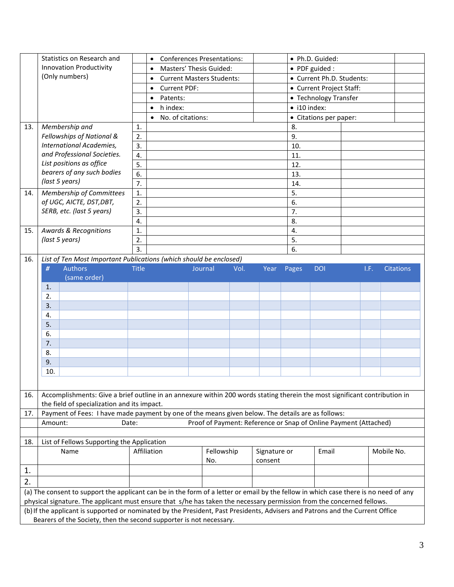|     | Statistics on Research and                                                                                                                                                                                                                                     |                | · Ph.D. Guided:<br><b>Conferences Presentations:</b><br>$\bullet$ |         |                   |      |                           |                          |                        |  |      |                  |  |
|-----|----------------------------------------------------------------------------------------------------------------------------------------------------------------------------------------------------------------------------------------------------------------|----------------|-------------------------------------------------------------------|---------|-------------------|------|---------------------------|--------------------------|------------------------|--|------|------------------|--|
|     | <b>Innovation Productivity</b>                                                                                                                                                                                                                                 |                | Masters' Thesis Guided:<br>$\bullet$                              |         |                   |      | • PDF guided :            |                          |                        |  |      |                  |  |
|     | (Only numbers)                                                                                                                                                                                                                                                 |                | <b>Current Masters Students:</b><br>$\bullet$                     |         |                   |      | • Current Ph.D. Students: |                          |                        |  |      |                  |  |
|     |                                                                                                                                                                                                                                                                |                | <b>Current PDF:</b><br>$\bullet$                                  |         |                   |      |                           | • Current Project Staff: |                        |  |      |                  |  |
|     |                                                                                                                                                                                                                                                                |                | Patents:<br>$\bullet$                                             |         |                   |      |                           |                          | • Technology Transfer  |  |      |                  |  |
|     |                                                                                                                                                                                                                                                                |                | h index:<br>$\bullet$                                             |         |                   |      |                           | $\bullet$ i10 index:     |                        |  |      |                  |  |
|     |                                                                                                                                                                                                                                                                |                | No. of citations:<br>$\bullet$                                    |         |                   |      |                           |                          | • Citations per paper: |  |      |                  |  |
| 13. | Membership and                                                                                                                                                                                                                                                 | 1.             |                                                                   |         |                   |      |                           | 8.                       |                        |  |      |                  |  |
|     | Fellowships of National &                                                                                                                                                                                                                                      | 2.             |                                                                   |         |                   |      |                           | 9.                       |                        |  |      |                  |  |
|     | International Academies,                                                                                                                                                                                                                                       | 3.             |                                                                   |         |                   |      |                           | 10.                      |                        |  |      |                  |  |
|     | and Professional Societies.                                                                                                                                                                                                                                    | 4.             |                                                                   |         |                   |      |                           | 11.                      |                        |  |      |                  |  |
|     | List positions as office                                                                                                                                                                                                                                       | 5.             |                                                                   |         |                   |      |                           | 12.                      |                        |  |      |                  |  |
|     | bearers of any such bodies                                                                                                                                                                                                                                     | 6.             |                                                                   |         |                   |      |                           | 13.                      |                        |  |      |                  |  |
|     | (last 5 years)                                                                                                                                                                                                                                                 | 7.             |                                                                   |         |                   |      |                           | 14.                      |                        |  |      |                  |  |
| 14. | Membership of Committees                                                                                                                                                                                                                                       | $\mathbf{1}$ . |                                                                   |         |                   |      |                           | 5.                       |                        |  |      |                  |  |
|     | of UGC, AICTE, DST, DBT,                                                                                                                                                                                                                                       | 2.             |                                                                   |         |                   |      |                           | 6.                       |                        |  |      |                  |  |
|     | SERB, etc. (last 5 years)                                                                                                                                                                                                                                      | 3.             |                                                                   |         |                   |      |                           | 7.                       |                        |  |      |                  |  |
|     |                                                                                                                                                                                                                                                                | 4.             |                                                                   |         |                   |      |                           | 8.                       |                        |  |      |                  |  |
| 15. | <b>Awards &amp; Recognitions</b>                                                                                                                                                                                                                               | 1.             |                                                                   |         |                   |      |                           | 4.                       |                        |  |      |                  |  |
|     | (last 5 years)                                                                                                                                                                                                                                                 | 2.             |                                                                   |         |                   |      |                           | 5.                       |                        |  |      |                  |  |
|     |                                                                                                                                                                                                                                                                | 3.             |                                                                   |         |                   |      |                           | 6.                       |                        |  |      |                  |  |
| 16. | List of Ten Most Important Publications (which should be enclosed)                                                                                                                                                                                             |                |                                                                   |         |                   |      |                           |                          |                        |  |      |                  |  |
|     | #<br><b>Authors</b>                                                                                                                                                                                                                                            | <b>Title</b>   |                                                                   | Journal |                   | Vol. | Year                      | Pages                    | <b>DOI</b>             |  | I.F. | <b>Citations</b> |  |
|     | (same order)                                                                                                                                                                                                                                                   |                |                                                                   |         |                   |      |                           |                          |                        |  |      |                  |  |
|     | 1.                                                                                                                                                                                                                                                             |                |                                                                   |         |                   |      |                           |                          |                        |  |      |                  |  |
|     | 2.                                                                                                                                                                                                                                                             |                |                                                                   |         |                   |      |                           |                          |                        |  |      |                  |  |
|     | 3.                                                                                                                                                                                                                                                             |                |                                                                   |         |                   |      |                           |                          |                        |  |      |                  |  |
|     | 4.                                                                                                                                                                                                                                                             |                |                                                                   |         |                   |      |                           |                          |                        |  |      |                  |  |
|     | 5.                                                                                                                                                                                                                                                             |                |                                                                   |         |                   |      |                           |                          |                        |  |      |                  |  |
|     | 6.                                                                                                                                                                                                                                                             |                |                                                                   |         |                   |      |                           |                          |                        |  |      |                  |  |
|     | 7.                                                                                                                                                                                                                                                             |                |                                                                   |         |                   |      |                           |                          |                        |  |      |                  |  |
|     | 8.                                                                                                                                                                                                                                                             |                |                                                                   |         |                   |      |                           |                          |                        |  |      |                  |  |
|     | 9.                                                                                                                                                                                                                                                             |                |                                                                   |         |                   |      |                           |                          |                        |  |      |                  |  |
|     | 10.                                                                                                                                                                                                                                                            |                |                                                                   |         |                   |      |                           |                          |                        |  |      |                  |  |
|     |                                                                                                                                                                                                                                                                |                |                                                                   |         |                   |      |                           |                          |                        |  |      |                  |  |
| 16. | Accomplishments: Give a brief outline in an annexure within 200 words stating therein the most significant contribution in<br>the field of specialization and its impact.                                                                                      |                |                                                                   |         |                   |      |                           |                          |                        |  |      |                  |  |
| 17. | Payment of Fees: I have made payment by one of the means given below. The details are as follows:                                                                                                                                                              |                |                                                                   |         |                   |      |                           |                          |                        |  |      |                  |  |
|     | Proof of Payment: Reference or Snap of Online Payment (Attached)<br>Amount:<br>Date:                                                                                                                                                                           |                |                                                                   |         |                   |      |                           |                          |                        |  |      |                  |  |
|     |                                                                                                                                                                                                                                                                |                |                                                                   |         |                   |      |                           |                          |                        |  |      |                  |  |
| 18. | List of Fellows Supporting the Application                                                                                                                                                                                                                     |                |                                                                   |         |                   |      |                           |                          |                        |  |      |                  |  |
|     | Name                                                                                                                                                                                                                                                           |                | Affiliation                                                       |         | Fellowship<br>No. |      | Signature or<br>consent   |                          | Email                  |  |      | Mobile No.       |  |
|     |                                                                                                                                                                                                                                                                |                |                                                                   |         |                   |      |                           |                          |                        |  |      |                  |  |
| 1.  |                                                                                                                                                                                                                                                                |                |                                                                   |         |                   |      |                           |                          |                        |  |      |                  |  |
| 2.  |                                                                                                                                                                                                                                                                |                |                                                                   |         |                   |      |                           |                          |                        |  |      |                  |  |
|     | (a) The consent to support the applicant can be in the form of a letter or email by the fellow in which case there is no need of any<br>physical signature. The applicant must ensure that s/he has taken the necessary permission from the concerned fellows. |                |                                                                   |         |                   |      |                           |                          |                        |  |      |                  |  |
|     | (b) If the applicant is supported or nominated by the President, Past Presidents, Advisers and Patrons and the Current Office                                                                                                                                  |                |                                                                   |         |                   |      |                           |                          |                        |  |      |                  |  |
|     | Bearers of the Society, then the second supporter is not necessary.                                                                                                                                                                                            |                |                                                                   |         |                   |      |                           |                          |                        |  |      |                  |  |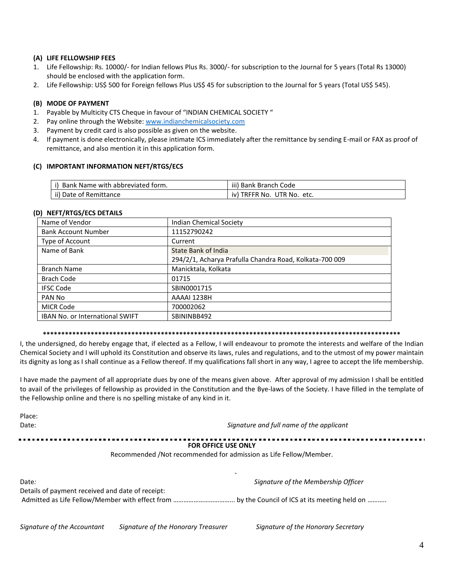#### (A) LIFE FELLOWSHIP FEES

- 1. Life Fellowship: Rs. 10000/- for Indian fellows Plus Rs. 3000/- for subscription to the Journal for 5 years (Total Rs 13000) should be enclosed with the application form.
- 2. Life Fellowship: US\$ 500 for Foreign fellows Plus US\$ 45 for subscription to the Journal for 5 years (Total US\$ 545).

#### (B) MODE OF PAYMENT

- 1. Payable by Multicity CTS Cheque in favour of "INDIAN CHEMICAL SOCIETY"
- 2. Pay online through the Website: www.indianchemicalsociety.com
- 3. Payment by credit card is also possible as given on the website.
- 4. If payment is done electronically, please intimate ICS immediately after the remittance by sending E-mail or FAX as proof of remittance, and also mention it in this application form.

#### (C) IMPORTANT INFORMATION NEFT/RTGS/ECS

| Bank Name with abbreviated form. | iii) Bank Branch Code            |
|----------------------------------|----------------------------------|
| ii) Date of Remittance           | TRFFR No.<br>UTR No. etc.<br>IV. |

#### (D) NEFT/RTGS/ECS DETAILS

 $D<sub>222</sub>$ 

| Name of Vendor                         | Indian Chemical Society                                 |
|----------------------------------------|---------------------------------------------------------|
| <b>Bank Account Number</b>             | 11152790242                                             |
| Type of Account                        | Current                                                 |
| Name of Bank                           | State Bank of India                                     |
|                                        | 294/2/1, Acharya Prafulla Chandra Road, Kolkata-700 009 |
| <b>Branch Name</b>                     | Manicktala, Kolkata                                     |
| <b>Brach Code</b>                      | 01715                                                   |
| <b>IFSC Code</b>                       | SBIN0001715                                             |
| PAN No                                 | AAAAI 1238H                                             |
| <b>MICR Code</b>                       | 700002062                                               |
| <b>IBAN No. or International SWIFT</b> | SBININBB492                                             |

#### 

I, the undersigned, do hereby engage that, if elected as a Fellow, I will endeavour to promote the interests and welfare of the Indian Chemical Society and I will uphold its Constitution and observe its laws, rules and regulations, and to the utmost of my power maintain its dignity as long as I shall continue as a Fellow thereof. If my qualifications fall short in any way, I agree to accept the life membership.

I have made the payment of all appropriate dues by one of the means given above. After approval of my admission I shall be entitled to avail of the privileges of fellowship as provided in the Constitution and the Bye-laws of the Society. I have filled in the template of the Fellowship online and there is no spelling mistake of any kind in it.

| PidCC.<br>Date:                                  | Signature and full name of the applicant                          |  |  |  |
|--------------------------------------------------|-------------------------------------------------------------------|--|--|--|
|                                                  | <b>FOR OFFICE USE ONLY</b>                                        |  |  |  |
|                                                  | Recommended /Not recommended for admission as Life Fellow/Member. |  |  |  |
| Date:                                            | Signature of the Membership Officer                               |  |  |  |
| Details of payment received and date of receipt: |                                                                   |  |  |  |
|                                                  |                                                                   |  |  |  |

Signature of the Accountant Signature of the Honorary Treasurer Signature of the Honorary Secretary